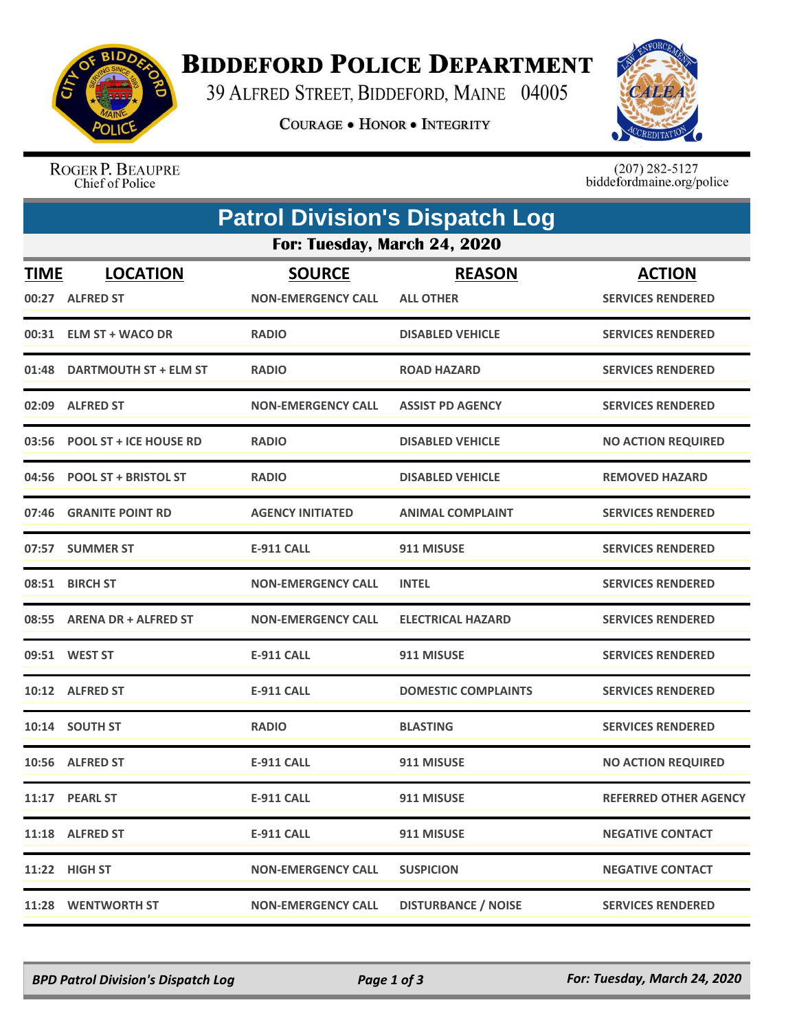

## **BIDDEFORD POLICE DEPARTMENT**

39 ALFRED STREET, BIDDEFORD, MAINE 04005

**COURAGE . HONOR . INTEGRITY** 



ROGER P. BEAUPRE Chief of Police

 $(207)$  282-5127<br>biddefordmaine.org/police

|                              | <b>Patrol Division's Dispatch Log</b> |                                            |                                   |                                           |  |  |  |  |
|------------------------------|---------------------------------------|--------------------------------------------|-----------------------------------|-------------------------------------------|--|--|--|--|
| For: Tuesday, March 24, 2020 |                                       |                                            |                                   |                                           |  |  |  |  |
| <b>TIME</b><br>00:27         | <b>LOCATION</b><br><b>ALFRED ST</b>   | <b>SOURCE</b><br><b>NON-EMERGENCY CALL</b> | <b>REASON</b><br><b>ALL OTHER</b> | <b>ACTION</b><br><b>SERVICES RENDERED</b> |  |  |  |  |
|                              | 00:31 ELM ST + WACO DR                | <b>RADIO</b>                               | <b>DISABLED VEHICLE</b>           | <b>SERVICES RENDERED</b>                  |  |  |  |  |
| 01:48                        | DARTMOUTH ST + ELM ST                 | <b>RADIO</b>                               | <b>ROAD HAZARD</b>                | <b>SERVICES RENDERED</b>                  |  |  |  |  |
| 02:09                        | <b>ALFRED ST</b>                      | <b>NON-EMERGENCY CALL</b>                  | <b>ASSIST PD AGENCY</b>           | <b>SERVICES RENDERED</b>                  |  |  |  |  |
| 03:56                        | <b>POOL ST + ICE HOUSE RD</b>         | <b>RADIO</b>                               | <b>DISABLED VEHICLE</b>           | <b>NO ACTION REQUIRED</b>                 |  |  |  |  |
| 04:56                        | <b>POOL ST + BRISTOL ST</b>           | <b>RADIO</b>                               | <b>DISABLED VEHICLE</b>           | <b>REMOVED HAZARD</b>                     |  |  |  |  |
| 07:46                        | <b>GRANITE POINT RD</b>               | <b>AGENCY INITIATED</b>                    | <b>ANIMAL COMPLAINT</b>           | <b>SERVICES RENDERED</b>                  |  |  |  |  |
|                              | 07:57 SUMMER ST                       | <b>E-911 CALL</b>                          | 911 MISUSE                        | <b>SERVICES RENDERED</b>                  |  |  |  |  |
|                              | 08:51 BIRCH ST                        | <b>NON-EMERGENCY CALL</b>                  | <b>INTEL</b>                      | <b>SERVICES RENDERED</b>                  |  |  |  |  |
|                              | 08:55 ARENA DR + ALFRED ST            | <b>NON-EMERGENCY CALL</b>                  | <b>ELECTRICAL HAZARD</b>          | <b>SERVICES RENDERED</b>                  |  |  |  |  |
| 09:51                        | <b>WEST ST</b>                        | <b>E-911 CALL</b>                          | 911 MISUSE                        | <b>SERVICES RENDERED</b>                  |  |  |  |  |
|                              | 10:12 ALFRED ST                       | E-911 CALL                                 | <b>DOMESTIC COMPLAINTS</b>        | <b>SERVICES RENDERED</b>                  |  |  |  |  |
|                              | 10:14 SOUTH ST                        | <b>RADIO</b>                               | <b>BLASTING</b>                   | <b>SERVICES RENDERED</b>                  |  |  |  |  |
|                              | 10:56 ALFRED ST                       | <b>E-911 CALL</b>                          | 911 MISUSE                        | <b>NO ACTION REQUIRED</b>                 |  |  |  |  |
|                              | 11:17 PEARL ST                        | <b>E-911 CALL</b>                          | 911 MISUSE                        | <b>REFERRED OTHER AGENCY</b>              |  |  |  |  |
|                              | 11:18 ALFRED ST                       | E-911 CALL                                 | 911 MISUSE                        | <b>NEGATIVE CONTACT</b>                   |  |  |  |  |
|                              | 11:22 HIGH ST                         | <b>NON-EMERGENCY CALL</b>                  | <b>SUSPICION</b>                  | <b>NEGATIVE CONTACT</b>                   |  |  |  |  |
|                              | 11:28 WENTWORTH ST                    | <b>NON-EMERGENCY CALL</b>                  | <b>DISTURBANCE / NOISE</b>        | <b>SERVICES RENDERED</b>                  |  |  |  |  |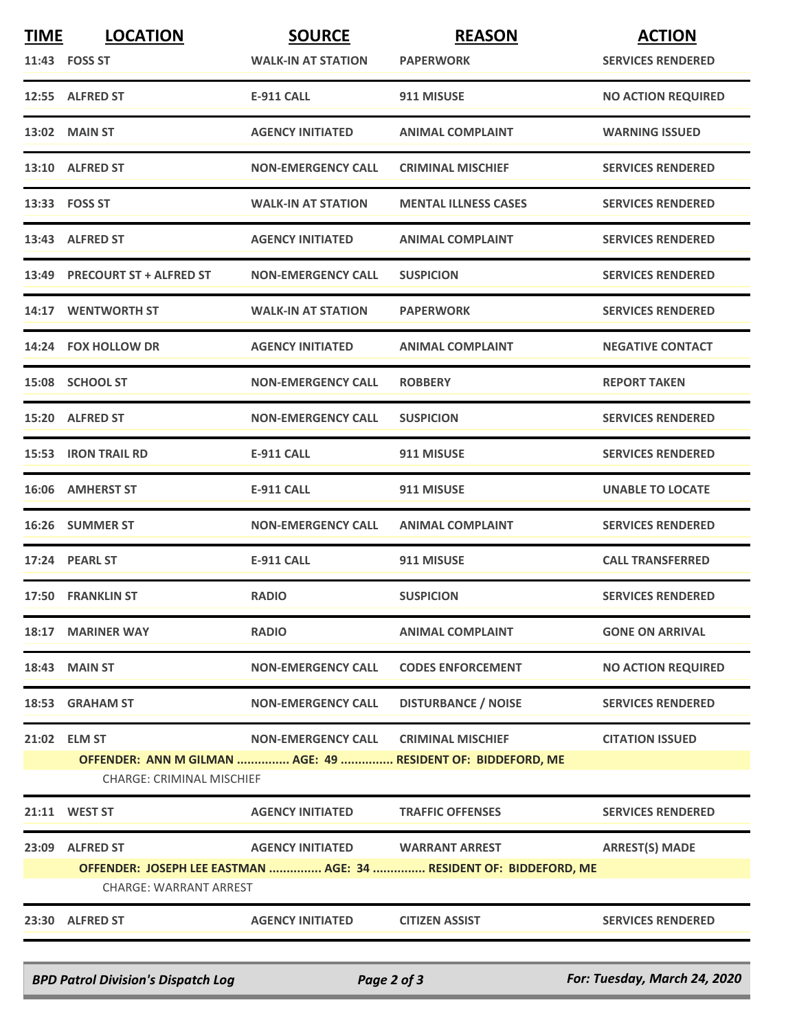| <b>TIME</b>                      | <b>LOCATION</b>                                                   | <b>SOURCE</b>                        | <b>REASON</b>                                               | <b>ACTION</b>             |  |  |
|----------------------------------|-------------------------------------------------------------------|--------------------------------------|-------------------------------------------------------------|---------------------------|--|--|
| 11:43 FOSS ST                    |                                                                   | <b>WALK-IN AT STATION</b>            | <b>PAPERWORK</b>                                            | <b>SERVICES RENDERED</b>  |  |  |
|                                  | 12:55 ALFRED ST                                                   | <b>E-911 CALL</b>                    | 911 MISUSE                                                  | <b>NO ACTION REQUIRED</b> |  |  |
| <b>13:02 MAIN ST</b>             |                                                                   | <b>AGENCY INITIATED</b>              | <b>ANIMAL COMPLAINT</b>                                     | <b>WARNING ISSUED</b>     |  |  |
|                                  | 13:10 ALFRED ST                                                   | <b>NON-EMERGENCY CALL</b>            | <b>CRIMINAL MISCHIEF</b>                                    | <b>SERVICES RENDERED</b>  |  |  |
| 13:33    FOSS ST                 |                                                                   | <b>WALK-IN AT STATION</b>            | <b>MENTAL ILLNESS CASES</b>                                 | <b>SERVICES RENDERED</b>  |  |  |
|                                  | 13:43 ALFRED ST                                                   | <b>AGENCY INITIATED</b>              | <b>ANIMAL COMPLAINT</b>                                     | <b>SERVICES RENDERED</b>  |  |  |
|                                  | 13:49 PRECOURT ST + ALFRED ST                                     | <b>NON-EMERGENCY CALL</b>            | <b>SUSPICION</b>                                            | <b>SERVICES RENDERED</b>  |  |  |
|                                  | 14:17 WENTWORTH ST                                                | <b>WALK-IN AT STATION</b>            | <b>PAPERWORK</b>                                            | <b>SERVICES RENDERED</b>  |  |  |
|                                  | 14:24 FOX HOLLOW DR                                               | <b>AGENCY INITIATED</b>              | <b>ANIMAL COMPLAINT</b>                                     | <b>NEGATIVE CONTACT</b>   |  |  |
|                                  | 15:08 SCHOOL ST                                                   | <b>NON-EMERGENCY CALL</b>            | <b>ROBBERY</b>                                              | <b>REPORT TAKEN</b>       |  |  |
|                                  | 15:20 ALFRED ST                                                   | <b>NON-EMERGENCY CALL</b>            | <b>SUSPICION</b>                                            | <b>SERVICES RENDERED</b>  |  |  |
|                                  | <b>15:53 IRON TRAIL RD</b>                                        | <b>E-911 CALL</b>                    | 911 MISUSE                                                  | <b>SERVICES RENDERED</b>  |  |  |
|                                  | 16:06 AMHERST ST                                                  | <b>E-911 CALL</b>                    | 911 MISUSE                                                  | <b>UNABLE TO LOCATE</b>   |  |  |
|                                  | 16:26 SUMMER ST                                                   | <b>NON-EMERGENCY CALL</b>            | <b>ANIMAL COMPLAINT</b>                                     | <b>SERVICES RENDERED</b>  |  |  |
| 17:24 PEARL ST                   |                                                                   | <b>E-911 CALL</b>                    | 911 MISUSE                                                  | <b>CALL TRANSFERRED</b>   |  |  |
|                                  | 17:50 FRANKLIN ST                                                 | <b>RADIO</b>                         | <b>SUSPICION</b>                                            | <b>SERVICES RENDERED</b>  |  |  |
|                                  | 18:17 MARINER WAY                                                 | <b>RADIO</b>                         | <b>ANIMAL COMPLAINT</b>                                     | <b>GONE ON ARRIVAL</b>    |  |  |
| <b>18:43 MAIN ST</b>             |                                                                   | <b>NON-EMERGENCY CALL</b>            | <b>CODES ENFORCEMENT</b>                                    | <b>NO ACTION REQUIRED</b> |  |  |
|                                  | 18:53 GRAHAM ST                                                   | <b>NON-EMERGENCY CALL</b>            | <b>DISTURBANCE / NOISE</b>                                  | <b>SERVICES RENDERED</b>  |  |  |
| 21:02 ELM ST                     |                                                                   | NON-EMERGENCY CALL CRIMINAL MISCHIEF |                                                             | <b>CITATION ISSUED</b>    |  |  |
|                                  |                                                                   |                                      | OFFENDER: ANN M GILMAN  AGE: 49  RESIDENT OF: BIDDEFORD, ME |                           |  |  |
| <b>CHARGE: CRIMINAL MISCHIEF</b> |                                                                   |                                      |                                                             |                           |  |  |
| 21:11 WEST ST                    |                                                                   | <b>AGENCY INITIATED</b>              | <b>TRAFFIC OFFENSES</b>                                     | <b>SERVICES RENDERED</b>  |  |  |
|                                  | 23:09 ALFRED ST                                                   | AGENCY INITIATED WARRANT ARREST      |                                                             | <b>ARREST(S) MADE</b>     |  |  |
|                                  | OFFENDER: JOSEPH LEE EASTMAN  AGE: 34  RESIDENT OF: BIDDEFORD, ME |                                      |                                                             |                           |  |  |
| <b>CHARGE: WARRANT ARREST</b>    |                                                                   |                                      |                                                             |                           |  |  |
|                                  | 23:30 ALFRED ST                                                   | <b>AGENCY INITIATED</b>              | <b>CITIZEN ASSIST</b>                                       | <b>SERVICES RENDERED</b>  |  |  |